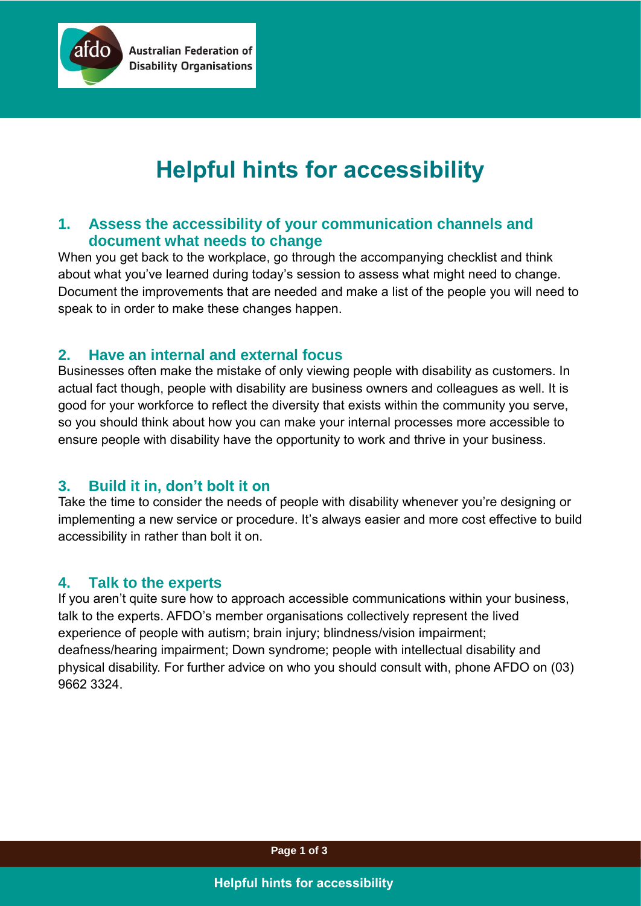

# **Helpful hints for accessibility**

# **1. Assess the accessibility of your communication channels and document what needs to change**

When you get back to the workplace, go through the accompanying checklist and think about what you've learned during today's session to assess what might need to change. Document the improvements that are needed and make a list of the people you will need to speak to in order to make these changes happen.

#### **2. Have an internal and external focus**

**Australian Federation of Disability Organisations** 

Businesses often make the mistake of only viewing people with disability as customers. In actual fact though, people with disability are business owners and colleagues as well. It is good for your workforce to reflect the diversity that exists within the community you serve, so you should think about how you can make your internal processes more accessible to ensure people with disability have the opportunity to work and thrive in your business.

# **3. Build it in, don't bolt it on**

Take the time to consider the needs of people with disability whenever you're designing or implementing a new service or procedure. It's always easier and more cost effective to build accessibility in rather than bolt it on.

# **4. Talk to the experts**

If you aren't quite sure how to approach accessible communications within your business, talk to the experts. AFDO's member organisations collectively represent the lived experience of people with autism; brain injury; blindness/vision impairment; deafness/hearing impairment; Down syndrome; people with intellectual disability and physical disability. For further advice on who you should consult with, phone AFDO on (03) 9662 3324.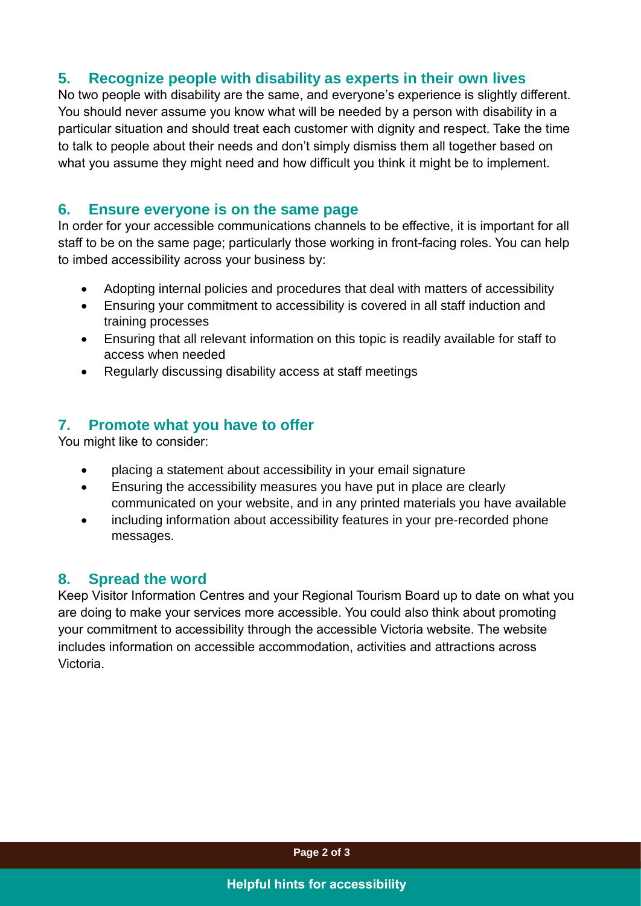#### **5. Recognize people with disability as experts in their own lives**

No two people with disability are the same, and everyone's experience is slightly different. You should never assume you know what will be needed by a person with disability in a particular situation and should treat each customer with dignity and respect. Take the time to talk to people about their needs and don't simply dismiss them all together based on what you assume they might need and how difficult you think it might be to implement.

#### **6. Ensure everyone is on the same page**

In order for your accessible communications channels to be effective, it is important for all staff to be on the same page; particularly those working in front-facing roles. You can help to imbed accessibility across your business by:

- Adopting internal policies and procedures that deal with matters of accessibility
- Ensuring your commitment to accessibility is covered in all staff induction and training processes
- Ensuring that all relevant information on this topic is readily available for staff to access when needed
- Regularly discussing disability access at staff meetings

# **7. Promote what you have to offer**

You might like to consider:

- placing a statement about accessibility in your email signature
- Ensuring the accessibility measures you have put in place are clearly communicated on your website, and in any printed materials you have available
- including information about accessibility features in your pre-recorded phone messages.

# **8. Spread the word**

Keep Visitor Information Centres and your Regional Tourism Board up to date on what you are doing to make your services more accessible. You could also think about promoting your commitment to accessibility through the accessible Victoria website. The website includes information on accessible accommodation, activities and attractions across Victoria.

**Page 2 of 3**